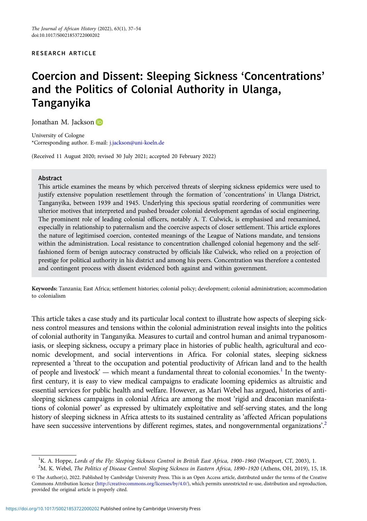## RESEARCH ARTICLE

# Coercion and Dissent: Sleeping Sickness 'Concentrations' and the Politics of Colonial Authority in Ulanga, Tanganyika

Jonathan M. Jackson

University of Cologne \*Corresponding author. E-mail: [j.jackson@uni-koeln.de](mailto:j.jackson@uni-koeln.de)

(Received 11 August 2020; revised 30 July 2021; accepted 20 February 2022)

### Abstract

This article examines the means by which perceived threats of sleeping sickness epidemics were used to justify extensive population resettlement through the formation of 'concentrations' in Ulanga District, Tanganyika, between 1939 and 1945. Underlying this specious spatial reordering of communities were ulterior motives that interpreted and pushed broader colonial development agendas of social engineering. The prominent role of leading colonial officers, notably A. T. Culwick, is emphasised and reexamined, especially in relationship to paternalism and the coercive aspects of closer settlement. This article explores the nature of legitimised coercion, contested meanings of the League of Nations mandate, and tensions within the administration. Local resistance to concentration challenged colonial hegemony and the selffashioned form of benign autocracy constructed by officials like Culwick, who relied on a projection of prestige for political authority in his district and among his peers. Concentration was therefore a contested and contingent process with dissent evidenced both against and within government.

Keywords: Tanzania; East Africa; settlement histories; colonial policy; development; colonial administration; accommodation to colonialism

This article takes a case study and its particular local context to illustrate how aspects of sleeping sickness control measures and tensions within the colonial administration reveal insights into the politics of colonial authority in Tanganyika. Measures to curtail and control human and animal trypanosomiasis, or sleeping sickness, occupy a primary place in histories of public health, agricultural and economic development, and social interventions in Africa. For colonial states, sleeping sickness represented a 'threat to the occupation and potential productivity of African land and to the health of people and livestock' — which meant a fundamental threat to colonial economies.<sup>1</sup> In the twentyfirst century, it is easy to view medical campaigns to eradicate looming epidemics as altruistic and essential services for public health and welfare. However, as Mari Webel has argued, histories of antisleeping sickness campaigns in colonial Africa are among the most 'rigid and draconian manifestations of colonial power' as expressed by ultimately exploitative and self-serving states, and the long history of sleeping sickness in Africa attests to its sustained centrality as 'affected African populations have seen successive interventions by different regimes, states, and nongovernmental organizations'.<sup>2</sup>

<sup>&</sup>lt;sup>1</sup>K. A. Hoppe, Lords of the Fly: Sleeping Sickness Control in British East Africa, 1900–1960 (Westport, CT, 2003), 1.<br><sup>2</sup>M. K. Webel, *The Politics of Disease Control: Sleeping Sickness in Eastern Africa, 1890–1920 (Athen* <sup>2</sup>M. K. Webel, The Politics of Disease Control: Sleeping Sickness in Eastern Africa, 1890-1920 (Athens, OH, 2019), 15, 18.

<sup>©</sup> The Author(s), 2022. Published by Cambridge University Press. This is an Open Access article, distributed under the terms of the Creative Commons Attribution licence [\(http://creativecommons.org/licenses/by/4.0/](http://creativecommons.org/licenses/by/4.0/)), which permits unrestricted re-use, distribution and reproduction, provided the original article is properly cited.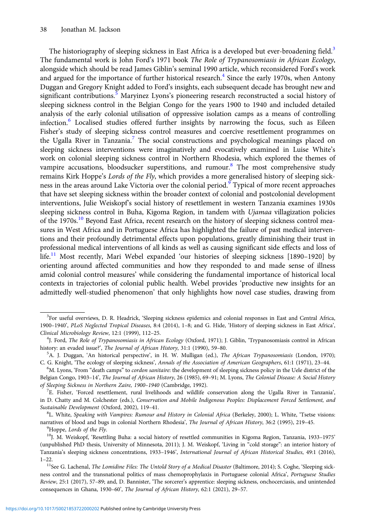The historiography of sleeping sickness in East Africa is a developed but ever-broadening field.<sup>3</sup> The fundamental work is John Ford's 1971 book The Role of Trypanosomiasis in African Ecology, alongside which should be read James Giblin's seminal 1990 article, which reconsidered Ford's work and argued for the importance of further historical research.<sup>4</sup> Since the early 1970s, when Antony Duggan and Gregory Knight added to Ford's insights, each subsequent decade has brought new and significant contributions.<sup>5</sup> Maryinez Lyons's pioneering research reconstructed a social history of sleeping sickness control in the Belgian Congo for the years 1900 to 1940 and included detailed analysis of the early colonial utilisation of oppressive isolation camps as a means of controlling infection.<sup>6</sup> Localised studies offered further insights by narrowing the focus, such as Eileen Fisher's study of sleeping sickness control measures and coercive resettlement programmes on the Ugalla River in Tanzania.<sup>7</sup> The social constructions and psychological meanings placed on sleeping sickness interventions were imaginatively and evocatively examined in Luise White's work on colonial sleeping sickness control in Northern Rhodesia, which explored the themes of vampire accusations, bloodsucker superstitions, and rumour.<sup>8</sup> The most comprehensive study remains Kirk Hoppe's Lords of the Fly, which provides a more generalised history of sleeping sickness in the areas around Lake Victoria over the colonial period.<sup>9</sup> Typical of more recent approaches that have set sleeping sickness within the broader context of colonial and postcolonial development interventions, Julie Weiskopf's social history of resettlement in western Tanzania examines 1930s sleeping sickness control in Buha, Kigoma Region, in tandem with *Ujamaa* villagization policies of the 1970s.<sup>10</sup> Beyond East Africa, recent research on the history of sleeping sickness control measures in West Africa and in Portuguese Africa has highlighted the failure of past medical interventions and their profoundly detrimental effects upon populations, greatly diminishing their trust in professional medical interventions of all kinds as well as causing significant side effects and loss of life.<sup>11</sup> Most recently, Mari Webel expanded 'our histories of sleeping sickness [1890–1920] by orienting around affected communities and how they responded to and made sense of illness amid colonial control measures' while considering the fundamental importance of historical local contexts in trajectories of colonial public health. Webel provides 'productive new insights for an admittedly well-studied phenomenon' that only highlights how novel case studies, drawing from

<sup>8</sup>L. White, Speaking with Vampires: Rumour and History in Colonial Africa (Berkeley, 2000); L. White, 'Tsetse visions: narratives of blood and bugs in colonial Northern Rhodesia', The Journal of African History, 36:2 (1995), 219-45.<br><sup>9</sup>Hoppe, Lords of the Fly.

<sup>&</sup>lt;sup>3</sup>For useful overviews, D. R. Headrick, 'Sleeping sickness epidemics and colonial responses in East and Central Africa, 1900–1940', PLoS Neglected Tropical Diseases, 8:4 (2014), 1–8; and G. Hide, 'History of sleeping sickness in East Africa', Clinical Microbiology Review, 12:1 (1999), 112–25. <sup>4</sup>

<sup>&</sup>lt;sup>4</sup>J. Ford, The Role of Trypanosomiasis in African Ecology (Oxford, 1971); J. Giblin, 'Trypanosomiasis control in African history: an evaded issue?', The Journal of African History, 31:1 (1990), 59-80.

<sup>&</sup>lt;sup>5</sup>A. J. Duggan, 'An historical perspective', in H. W. Mulligan (ed.), *The African Trypanosomiasis* (London, 1970); C. G. Knight, 'The ecology of sleeping sickness', Annals of the Association of American Geographers, 61:1 (1971), 23-44.

<sup>&</sup>lt;sup>6</sup>M. Lyons, 'From "death camps" to *cordon sanitaire*: the development of sleeping sickness policy in the Uele district of the Belgian Congo, 1903–14', The Journal of African History, 26 (1985), 69–91; M. Lyons, The Colonial Disease: A Social History of Sleeping Sickness in Northern Zaire, 1900–<sup>1940</sup> (Cambridge, 1992). <sup>7</sup>

E. Fisher, 'Forced resettlement, rural livelihoods and wildlife conservation along the Ugalla River in Tanzania', in D. Chatty and M. Colchester (eds.), Conservation and Mobile Indigenous Peoples: Displacement Forced Settlement, and Sustainable Development (Oxford, 2002), 119-41.

<sup>&</sup>lt;sup>10</sup>J. M. Weiskopf, 'Resettling Buha: a social history of resettled communities in Kigoma Region, Tanzania, 1933-1975' (unpublished PhD thesis, University of Minnesota, 2011); J. M. Weiskopf, 'Living in "cold storage": an interior history of Tanzania's sleeping sickness concentrations, 1933–1946', International Journal of African Historical Studies, 49:1 (2016), 1–22.

<sup>&</sup>lt;sup>11</sup>See G. Lachenal, *The Lomidine Files: The Untold Story of a Medical Disaster* (Baltimore, 2014); S. Coghe, 'Sleeping sickness control and the transnational politics of mass chemoprophylaxis in Portuguese colonial Africa', Portuguese Studies Review, 25:1 (2017), 57–89; and, D. Bannister, 'The sorcerer's apprentice: sleeping sickness, onchocerciasis, and unintended consequences in Ghana, 1930–60', The Journal of African History, 62:1 (2021), 29–57.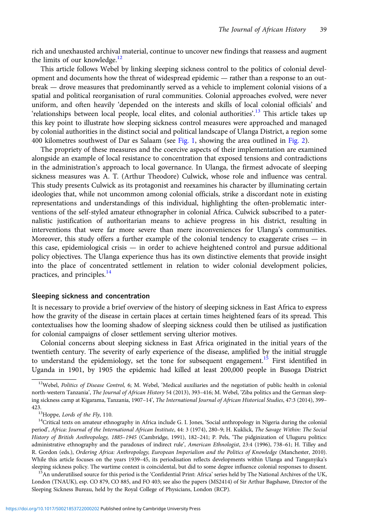rich and unexhausted archival material, continue to uncover new findings that reassess and augment the limits of our knowledge. $^{12}$ 

This article follows Webel by linking sleeping sickness control to the politics of colonial development and documents how the threat of widespread epidemic — rather than a response to an outbreak — drove measures that predominantly served as a vehicle to implement colonial visions of a spatial and political reorganisation of rural communities. Colonial approaches evolved, were never uniform, and often heavily 'depended on the interests and skills of local colonial officials' and 'relationships between local people, local elites, and colonial authorities'.<sup>13</sup> This article takes up this key point to illustrate how sleeping sickness control measures were approached and managed by colonial authorities in the distinct social and political landscape of Ulanga District, a region some 400 kilometres southwest of Dar es Salaam (see [Fig. 1](#page-3-0), showing the area outlined in [Fig. 2](#page-4-0)).

The propriety of these measures and the coercive aspects of their implementation are examined alongside an example of local resistance to concentration that exposed tensions and contradictions in the administration's approach to local governance. In Ulanga, the firmest advocate of sleeping sickness measures was A. T. (Arthur Theodore) Culwick, whose role and influence was central. This study presents Culwick as its protagonist and reexamines his character by illuminating certain ideologies that, while not uncommon among colonial officials, strike a discordant note in existing representations and understandings of this individual, highlighting the often-problematic interventions of the self-styled amateur ethnographer in colonial Africa. Culwick subscribed to a paternalistic justification of authoritarian means to achieve progress in his district, resulting in interventions that were far more severe than mere inconveniences for Ulanga's communities. Moreover, this study offers a further example of the colonial tendency to exaggerate crises — in this case, epidemiological crisis — in order to achieve heightened control and pursue additional policy objectives. The Ulanga experience thus has its own distinctive elements that provide insight into the place of concentrated settlement in relation to wider colonial development policies, practices, and principles.<sup>14</sup>

#### Sleeping sickness and concentration

It is necessary to provide a brief overview of the history of sleeping sickness in East Africa to express how the gravity of the disease in certain places at certain times heightened fears of its spread. This contextualises how the looming shadow of sleeping sickness could then be utilised as justification for colonial campaigns of closer settlement serving ulterior motives.

Colonial concerns about sleeping sickness in East Africa originated in the initial years of the twentieth century. The severity of early experience of the disease, amplified by the initial struggle to understand the epidemiology, set the tone for subsequent engagement.<sup>15</sup> First identified in Uganda in 1901, by 1905 the epidemic had killed at least 200,000 people in Busoga District

sleeping sickness policy. The wartime context is coincidental, but did to some degree influence colonial responses to dissent.<br><sup>15</sup>An underutilised source for this period is the 'Confidential Print: Africa' series held by London (TNAUK), esp. CO 879, CO 885, and FO 403; see also the papers (MS2414) of Sir Arthur Bagshawe, Director of the Sleeping Sickness Bureau, held by the Royal College of Physicians, London (RCP).

 $12$ Webel, Politics of Disease Control, 6; M. Webel, 'Medical auxiliaries and the negotiation of public health in colonial north-western Tanzania', The Journal of African History 54 (2013), 393-416; M. Webel, 'Ziba politics and the German sleeping sickness camp at Kigarama, Tanzania, 1907–14', The International Journal of African Historical Studies, 47:3 (2014), 399– 423.<br><sup>13</sup>Hoppe, *Lords of the Fly*, 110.<br><sup>14</sup>Critical texts on amateur ethnography in Africa include G. I. Jones, 'Social anthropology in Nigeria during the colonial

period', Africa: Journal of the International African Institute, 44: 3 (1974), 280–9; H. Kuklick, The Savage Within: The Social History of British Anthropology, 1885–1945 (Cambridge, 1991), 182–241; P. Pels, 'The pidginization of Uluguru politics: administrative ethnography and the paradoxes of indirect rule', American Ethnologist, 23:4 (1996), 738-61; H. Tilley and R. Gordon (eds.), Ordering Africa: Anthropology, European Imperialism and the Politics of Knowledge (Manchester, 2010). While this article focuses on the years 1939–45, its periodisation reflects developments within Ulanga and Tanganyika's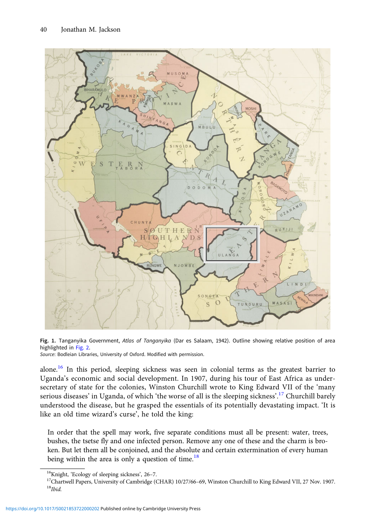<span id="page-3-0"></span>

Fig. 1. Tanganyika Government, Atlas of Tanganyika (Dar es Salaam, 1942). Outline showing relative position of area highlighted in [Fig. 2.](#page-4-0)

Source: Bodleian Libraries, University of Oxford. Modified with permission.

alone.<sup>16</sup> In this period, sleeping sickness was seen in colonial terms as the greatest barrier to Uganda's economic and social development. In 1907, during his tour of East Africa as undersecretary of state for the colonies, Winston Churchill wrote to King Edward VII of the 'many serious diseases' in Uganda, of which 'the worse of all is the sleeping sickness'.<sup>17</sup> Churchill barely understood the disease, but he grasped the essentials of its potentially devastating impact. 'It is like an old time wizard's curse', he told the king:

In order that the spell may work, five separate conditions must all be present: water, trees, bushes, the tsetse fly and one infected person. Remove any one of these and the charm is broken. But let them all be conjoined, and the absolute and certain extermination of every human being within the area is only a question of time.<sup>18</sup>

<sup>&</sup>lt;sup>16</sup>Knight, 'Ecology of sleeping sickness', 26–7.<br><sup>17</sup>Chartwell Papers, University of Cambridge (CHAR) 10/27/66–69, Winston Churchill to King Edward VII, 27 Nov. 1907.<br><sup>18</sup>Ibid.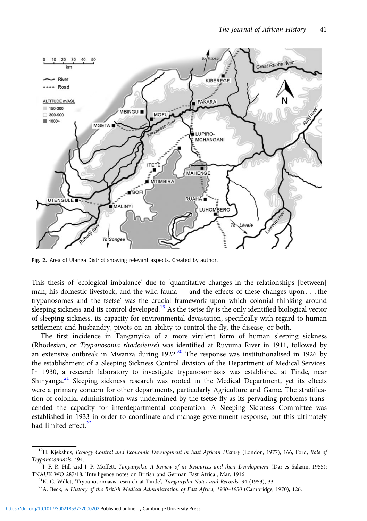<span id="page-4-0"></span>

Fig. 2. Area of Ulanga District showing relevant aspects. Created by author.

This thesis of 'ecological imbalance' due to 'quantitative changes in the relationships [between] man, his domestic livestock, and the wild fauna — and the effects of these changes upon . . . the trypanosomes and the tsetse' was the crucial framework upon which colonial thinking around sleeping sickness and its control developed.<sup>19</sup> As the tsetse fly is the only identified biological vector of sleeping sickness, its capacity for environmental devastation, specifically with regard to human settlement and husbandry, pivots on an ability to control the fly, the disease, or both.

The first incidence in Tanganyika of a more virulent form of human sleeping sickness (Rhodesian, or Trypanosoma rhodesiense) was identified at Ruvuma River in 1911, followed by an extensive outbreak in Mwanza during 1922.<sup>20</sup> The response was institutionalised in 1926 by the establishment of a Sleeping Sickness Control division of the Department of Medical Services. In 1930, a research laboratory to investigate trypanosomiasis was established at Tinde, near Shinyanga.<sup>21</sup> Sleeping sickness research was rooted in the Medical Department, yet its effects were a primary concern for other departments, particularly Agriculture and Game. The stratification of colonial administration was undermined by the tsetse fly as its pervading problems transcended the capacity for interdepartmental cooperation. A Sleeping Sickness Committee was established in 1933 in order to coordinate and manage government response, but this ultimately had limited effect.<sup>22</sup>

<sup>&</sup>lt;sup>19</sup>H. Kjekshus, Ecology Control and Economic Development in East African History (London, 1977), 166; Ford, Role of Trypanosomiasis, 494.<br><sup>20</sup>J. F. R. Hill and J. P. Moffett, *Tanganyika: A Review of its Resources and their Development* (Dar es Salaam, 1955);

TNAUK WO 287/18, 'Intelligence notes on British and German East Africa', Mar. 1916.<br><sup>21</sup>K. C. Willet, 'Trypanosomiasis research at Tinde', *Tanganyika Notes and Records*, 34 (1953), 33.<br><sup>22</sup>A. Beck, *A History of the Briti*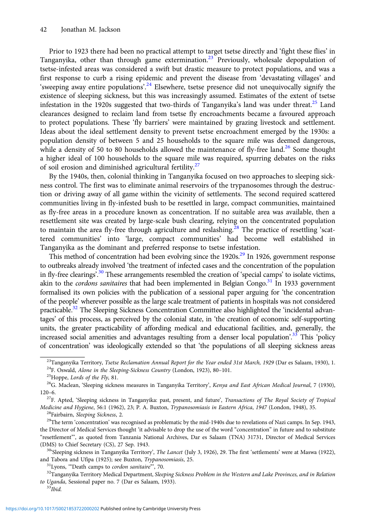Prior to 1923 there had been no practical attempt to target tsetse directly and 'fight these flies' in Tanganyika, other than through game extermination.23 Previously, wholesale depopulation of tsetse-infested areas was considered a swift but drastic measure to protect populations, and was a first response to curb a rising epidemic and prevent the disease from 'devastating villages' and 'sweeping away entire populations'.<sup>24</sup> Elsewhere, tsetse presence did not unequivocally signify the existence of sleeping sickness, but this was increasingly assumed. Estimates of the extent of tsetse infestation in the 1920s suggested that two-thirds of Tanganyika's land was under threat.<sup>25</sup> Land clearances designed to reclaim land from tsetse fly encroachments became a favoured approach to protect populations. These 'fly barriers' were maintained by grazing livestock and settlement. Ideas about the ideal settlement density to prevent tsetse encroachment emerged by the 1930s: a population density of between 5 and 25 households to the square mile was deemed dangerous, while a density of 50 to 80 households allowed the maintenance of fly-free land.<sup>26</sup> Some thought a higher ideal of 100 households to the square mile was required, spurring debates on the risks of soil erosion and diminished agricultural fertility.<sup>27</sup>

By the 1940s, then, colonial thinking in Tanganyika focused on two approaches to sleeping sickness control. The first was to eliminate animal reservoirs of the trypanosomes through the destruction or driving away of all game within the vicinity of settlements. The second required scattered communities living in fly-infested bush to be resettled in large, compact communities, maintained as fly-free areas in a procedure known as concentration. If no suitable area was available, then a resettlement site was created by large-scale bush clearing, relying on the concentrated population to maintain the area fly-free through agriculture and reslashing.<sup>28</sup> The practice of resettling 'scattered communities' into 'large, compact communities' had become well established in Tanganyika as the dominant and preferred response to tsetse infestation.

This method of concentration had been evolving since the 1920s.<sup>29</sup> In 1926, government response to outbreaks already involved 'the treatment of infected cases and the concentration of the population in fly-free clearings<sup>', 30</sup> These arrangements resembled the creation of 'special camps' to isolate victims, akin to the *cordons sanitaires* that had been implemented in Belgian Congo.<sup>31</sup> In 1933 government formalised its own policies with the publication of a sessional paper arguing for 'the concentration of the people' wherever possible as the large scale treatment of patients in hospitals was not considered practicable.<sup>32</sup> The Sleeping Sickness Concentration Committee also highlighted the 'incidental advantages' of this process, as perceived by the colonial state, in 'the creation of economic self-supporting units, the greater practicability of affording medical and educational facilities, and, generally, the increased social amenities and advantages resulting from a denser local population'.<sup>33</sup> This 'policy of concentration' was ideologically extended so that 'the populations of all sleeping sickness areas

<sup>&</sup>lt;sup>23</sup>Tanganyika Territory, *Tsetse Reclamation Annual Report for the Year ended 31st March*, 1929 (Dar es Salaam, 1930), 1.<br><sup>24</sup>F. Oswald, *Alone in the Sleeping-Sickness Country* (London, 1923), 80–101.<br><sup>25</sup>Hoppe, *Lords* 

<sup>120–6.&</sup>lt;br><sup>27</sup>F. Apted, 'Sleeping sickness in Tanganyika: past, present, and future', *Transactions of The Royal Society of Tropical* 

*Medicine and Hygiene*, 56:1 (1962), 23; P. A. Buxton, *Trypanosomiasis in Eastern Africa*, 1947 (London, 1948), 35.<br><sup>28</sup>Fairbairn, *Sleeping Sickness*, 2.<br><sup>29</sup>The term 'concentration' was recognised as problematic by the

the Director of Medical Services thought 'it advisable to drop the use of the word "concentration" in future and to substitute "resettlement"', as quoted from Tanzania National Archives, Dar es Salaam (TNA) 31731, Director of Medical Services

<sup>(</sup>DMS) to Chief Secretary (CS), 27 Sep. 1943.<br><sup>30</sup>'Sleeping sickness in Tanganyika Territory', *The Lancet* (July 3, 1926), 29. The first 'settlements' were at Maswa (1922), and Tabora and Ufipa (1925); see Buxton, *Trypano* 

 $^{31}$ Lyons, "Death camps to *cordon sanitaire*", 70.<br> $^{32}$ Tanganyika Territory Medical Department, *Sleeping Sickness Problem in the Western and Lake Provinces, and in Relation* to Uganda, Sessional paper no. 7 (Dar es Salaam, 1933). <sup>33</sup>Ibid.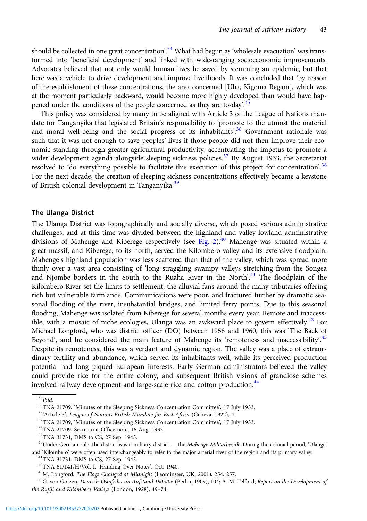should be collected in one great concentration'.<sup>34</sup> What had begun as 'wholesale evacuation' was transformed into 'beneficial development' and linked with wide-ranging socioeconomic improvements. Advocates believed that not only would human lives be saved by stemming an epidemic, but that here was a vehicle to drive development and improve livelihoods. It was concluded that 'by reason of the establishment of these concentrations, the area concerned [Uha, Kigoma Region], which was at the moment particularly backward, would become more highly developed than would have happened under the conditions of the people concerned as they are to-day.<sup>35</sup>

This policy was considered by many to be aligned with Article 3 of the League of Nations mandate for Tanganyika that legislated Britain's responsibility to 'promote to the utmost the material and moral well-being and the social progress of its inhabitants'.<sup>36</sup> Government rationale was such that it was not enough to save peoples' lives if those people did not then improve their economic standing through greater agricultural productivity, accentuating the impetus to promote a wider development agenda alongside sleeping sickness policies.<sup>37</sup> By August 1933, the Secretariat resolved to 'do everything possible to facilitate this execution of this project for concentration'.<sup>38</sup> For the next decade, the creation of sleeping sickness concentrations effectively became a keystone of British colonial development in Tanganyika.<sup>39</sup>

## The Ulanga District

The Ulanga District was topographically and socially diverse, which posed various administrative challenges, and at this time was divided between the highland and valley lowland administrative divisions of Mahenge and Kiberege respectively (see [Fig. 2\)](#page-4-0).<sup>40</sup> Mahenge was situated within a great massif, and Kiberege, to its north, served the Kilombero valley and its extensive floodplain. Mahenge's highland population was less scattered than that of the valley, which was spread more thinly over a vast area consisting of 'long straggling swampy valleys stretching from the Songea and Njombe borders in the South to the Ruaha River in the North'.<sup>41</sup> The floodplain of the Kilombero River set the limits to settlement, the alluvial fans around the many tributaries offering rich but vulnerable farmlands. Communications were poor, and fractured further by dramatic seasonal flooding of the river, insubstantial bridges, and limited ferry points. Due to this seasonal flooding, Mahenge was isolated from Kiberege for several months every year. Remote and inaccessible, with a mosaic of niche ecologies, Ulanga was an awkward place to govern effectively.<sup>42</sup> For Michael Longford, who was district officer (DO) between 1958 and 1960, this was 'The Back of Beyond', and he considered the main feature of Mahenge its 'remoteness and inaccessibility'.<sup>43</sup> Despite its remoteness, this was a verdant and dynamic region. The valley was a place of extraordinary fertility and abundance, which served its inhabitants well, while its perceived production potential had long piqued European interests. Early German administrators believed the valley could provide rice for the entire colony, and subsequent British visions of grandiose schemes involved railway development and large-scale rice and cotton production.<sup>44</sup>

 $34$ Ihid.

<sup>&</sup>lt;sup>35</sup>TNA 21709, 'Minutes of the Sleeping Sickness Concentration Committee', 17 July 1933.<br><sup>364</sup>Article 3', *League of Nations British Mandate for East Africa* (Geneva, 1922), 4.<br><sup>37</sup>TNA 21709, 'Minutes of the Sleeping Sick

<sup>39</sup>TNA 31731, DMS to CS, 27 Sep. 1943.

 $^{40}$ Under German rule, the district was a military district — the Mahenge Militärbezirk. During the colonial period, 'Ulanga' and 'Kilombero' were often used interchangeably to refer to the major arterial river of the region and its primary valley.  $^{41}$ TNA 31731, DMS to CS, 27 Sep. 1943.<br> $^{42}$ TNA 61/141/H/Vol. I, 'Handing Over Notes', Oct. 19

<sup>&</sup>lt;sup>43</sup>M. Longford, *The Flags Changed at Midnight* (Leominster, UK, 2001), 254, 257.<br><sup>44</sup>G. von Götzen, Deutsch-Ostafrika im Aufstand 1905/06 (Berlin, 1909), 104; A. M. Telford, Report on the Development of the Rufiji and Kilombero Valleys (London, 1928), 49–74.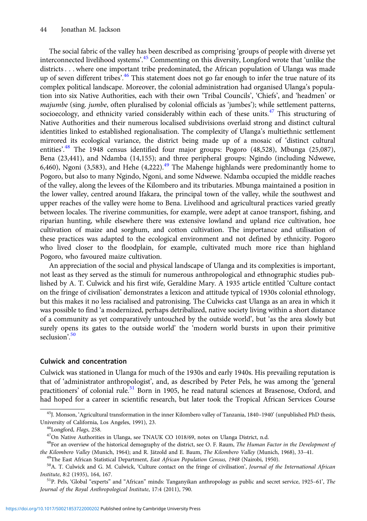The social fabric of the valley has been described as comprising 'groups of people with diverse yet interconnected livelihood systems'. <sup>45</sup> Commenting on this diversity, Longford wrote that 'unlike the districts . . . where one important tribe predominated, the African population of Ulanga was made up of seven different tribes'.<sup>46</sup> This statement does not go far enough to infer the true nature of its complex political landscape. Moreover, the colonial administration had organised Ulanga's population into six Native Authorities, each with their own 'Tribal Councils', 'Chiefs', and 'headmen' or majumbe (sing. jumbe, often pluralised by colonial officials as 'jumbes'); while settlement patterns, socioecology, and ethnicity varied considerably within each of these units. $47$  This structuring of Native Authorities and their numerous localised subdivisions overlaid strong and distinct cultural identities linked to established regionalisation. The complexity of Ulanga's multiethnic settlement mirrored its ecological variance, the district being made up of a mosaic of 'distinct cultural entities'.<sup>48</sup> The 1948 census identified four major groups: Pogoro (48,528), Mbunga (25,087), Bena (23,441), and Ndamba (14,155); and three peripheral groups: Ngindo (including Ndwewe, 6,460), Ngoni (3,583), and Hehe (4,222). $49$  The Mahenge highlands were predominantly home to Pogoro, but also to many Ngindo, Ngoni, and some Ndwewe. Ndamba occupied the middle reaches of the valley, along the levees of the Kilombero and its tributaries. Mbunga maintained a position in the lower valley, centred around Ifakara, the principal town of the valley, while the southwest and upper reaches of the valley were home to Bena. Livelihood and agricultural practices varied greatly between locales. The riverine communities, for example, were adept at canoe transport, fishing, and riparian hunting, while elsewhere there was extensive lowland and upland rice cultivation, hoe cultivation of maize and sorghum, and cotton cultivation. The importance and utilisation of these practices was adapted to the ecological environment and not defined by ethnicity. Pogoro who lived closer to the floodplain, for example, cultivated much more rice than highland Pogoro, who favoured maize cultivation.

An appreciation of the social and physical landscape of Ulanga and its complexities is important, not least as they served as the stimuli for numerous anthropological and ethnographic studies published by A. T. Culwick and his first wife, Geraldine Mary. A 1935 article entitled 'Culture contact on the fringe of civilisation' demonstrates a lexicon and attitude typical of 1930s colonial ethnology, but this makes it no less racialised and patronising. The Culwicks cast Ulanga as an area in which it was possible to find 'a modernized, perhaps detribalized, native society living within a short distance of a community as yet comparatively untouched by the outside world', but 'as the area slowly but surely opens its gates to the outside world' the 'modern world bursts in upon their primitive seclusion'. 50

## Culwick and concentration

Culwick was stationed in Ulanga for much of the 1930s and early 1940s. His prevailing reputation is that of 'administrator anthropologist', and, as described by Peter Pels, he was among the 'general practitioners' of colonial rule.<sup>51</sup> Born in 1905, he read natural sciences at Brasenose, Oxford, and had hoped for a career in scientific research, but later took the Tropical African Services Course

 $^{45}$ J. Monson, 'Agricultural transformation in the inner Kilombero valley of Tanzania, 1840–1940' (unpublished PhD thesis, University of California. Los Angeles, 1991), 23.

<sup>&</sup>lt;sup>46</sup>Longford, *Flags*, 258.<br><sup>47</sup>On Native Authorities in Ulanga, see TNAUK CO 1018/69, notes on Ulanga District, n.d.

<sup>&</sup>lt;sup>48</sup>For an overview of the historical demography of the district, see O. F. Raum, The Human Factor in the Development of the Kilombero Valley (Munich, 1964); and R. Jätzold and E. Baum, *The Kilombero Valley* (Munich, 1968), 33–41.<br><sup>49</sup>The East African Statistical Department, *East African Population Census*, 1948 (Nairobi, 1950).<br><sup>50</sup>A. T.

Institute, 8:2 (1935), 164, 167.<br><sup>51</sup>P. Pels, 'Global "experts" and "African" minds: Tanganyikan anthropology as public and secret service, 1925–61', *The* 

Journal of the Royal Anthropological Institute, 17:4 (2011), 790.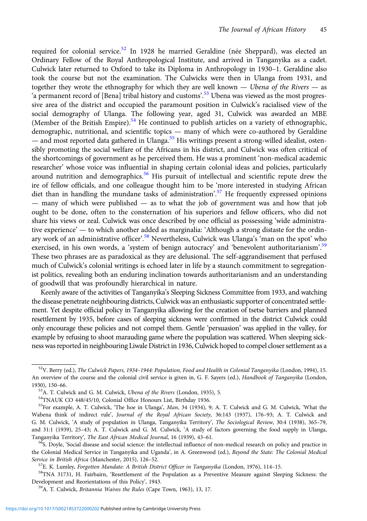required for colonial service.<sup>52</sup> In 1928 he married Geraldine (née Sheppard), was elected an Ordinary Fellow of the Royal Anthropological Institute, and arrived in Tanganyika as a cadet. Culwick later returned to Oxford to take its Diploma in Anthropology in 1930–1. Geraldine also took the course but not the examination. The Culwicks were then in Ulanga from 1931, and together they wrote the ethnography for which they are well known — Ubena of the Rivers — as 'a permanent record of [Bena] tribal history and customs'.<sup>53</sup> Ubena was viewed as the most progressive area of the district and occupied the paramount position in Culwick's racialised view of the social demography of Ulanga. The following year, aged 31, Culwick was awarded an MBE (Member of the British Empire).<sup>54</sup> He continued to publish articles on a variety of ethnographic, demographic, nutritional, and scientific topics — many of which were co-authored by Geraldine — and most reported data gathered in Ulanga.<sup>55</sup> His writings present a strong-willed idealist, ostensibly promoting the social welfare of the Africans in his district, and Culwick was often critical of the shortcomings of government as he perceived them. He was a prominent 'non-medical academic researcher' whose voice was influential in shaping certain colonial ideas and policies, particularly around nutrition and demographics.<sup>56</sup> His pursuit of intellectual and scientific repute drew the ire of fellow officials, and one colleague thought him to be 'more interested in studying African diet than in handling the mundane tasks of administration'.<sup>57</sup> He frequently expressed opinions — many of which were published — as to what the job of government was and how that job ought to be done, often to the consternation of his superiors and fellow officers, who did not share his views or zeal. Culwick was once described by one official as possessing 'wide administrative experience' — to which another added as marginalia: 'Although a strong distaste for the ordinary work of an administrative officer'.<sup>58</sup> Nevertheless, Culwick was Ulanga's 'man on the spot' who exercised, in his own words, a 'system of benign autocracy' and 'benevolent authoritarianism'.<sup>59</sup> These two phrases are as paradoxical as they are delusional. The self-aggrandisement that perfused much of Culwick's colonial writings is echoed later in life by a staunch commitment to segregationist politics, revealing both an enduring inclination towards authoritarianism and an understanding of goodwill that was profoundly hierarchical in nature.

Keenly aware of the activities of Tanganyika's Sleeping Sickness Committee from 1933, and watching the disease penetrate neighbouring districts, Culwick was an enthusiastic supporter of concentrated settlement. Yet despite official policy in Tanganyika allowing for the creation of tsetse barriers and planned resettlement by 1935, before cases of sleeping sickness were confirmed in the district Culwick could only encourage these policies and not compel them. Gentle 'persuasion' was applied in the valley, for example by refusing to shoot marauding game where the population was scattered. When sleeping sickness was reported in neighbouring Liwale District in 1936, Culwick hoped to compel closer settlement as a

<sup>&</sup>lt;sup>52</sup>V. Berry (ed.), The Culwick Papers, 1934-1944: Population, Food and Health in Colonial Tanganyika (London, 1994), 15. An overview of the course and the colonial civil service is given in, G. F. Sayers (ed.), Handbook of Tanganyika (London, 1930), 150–66.<br><sup>53</sup>A. T. Culwick and G. M. Culwick, *Ubena of the Rivers* (London, 1935), 5.<br><sup>54</sup>TNAUK CO 448/45/10, Colonial Office Honours List, Birthday 1936.

<sup>&</sup>lt;sup>55</sup>For example, A. T. Culwick, 'The hoe in Ulanga', Man, 34 (1934), 9; A. T. Culwick and G. M. Culwick, 'What the Wabena think of indirect rule', Journal of the Royal African Society, 36:143 (1937), 176–93; A. T. Culwick and G. M. Culwick, 'A study of population in Ulanga, Tanganyika Territory', The Sociological Review, 30:4 (1938), 365–79, and 31:1 (1939), 25–43; A. T. Culwick and G. M. Culwick, 'A study of factors governing the food supply in Ulanga, Tanganyika Territory', *The East African Medical Journal*, 16 (1939), 43–61.<br><sup>56</sup>S. Doyle, 'Social disease and social science: the intellectual influence of non-medical research on policy and practice in

the Colonial Medical Service in Tanganyika and Uganda', in A. Greenwood (ed.), Beyond the State: The Colonial Medical Service in British Africa (Manchester, 2015), 126–52.<br><sup>57</sup>E. K. Lumley, *Forgotten Mandate: A British District Officer in Tanganyika* (London, 1976), 114–15.<br><sup>58</sup>TNA 31731, H. Fairbairn, 'Resettlement of the Population as

Development and Reorientations of this Policy', 1943. 59A. T. Culwick, Britannia Waives the Rules (Cape Town, 1963), 13, 17.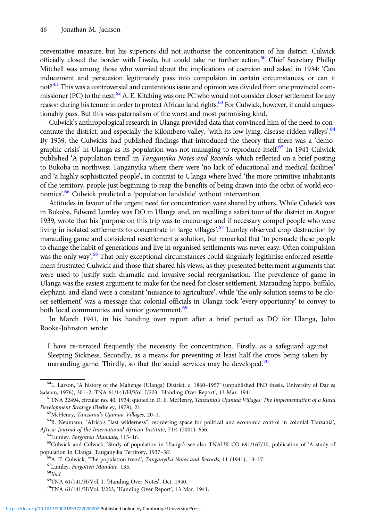preventative measure, but his superiors did not authorise the concentration of his district. Culwick officially closed the border with Liwale, but could take no further action.<sup>60</sup> Chief Secretary Phillip Mitchell was among those who worried about the implications of coercion and asked in 1934: 'Can inducement and persuasion legitimately pass into compulsion in certain circumstances, or can it not?<sup>'61</sup> This was a controversial and contentious issue and opinion was divided from one provincial commissioner (PC) to the next.<sup>62</sup> A. E. Kitching was one PC who would not consider closer settlement for any reason during his tenure in order to protect African land rights.<sup>63</sup> For Culwick, however, it could unquestionably pass. But this was paternalism of the worst and most patronising kind.

Culwick's anthropological research in Ulanga provided data that convinced him of the need to concentrate the district, and especially the Kilombero valley, 'with its low-lying, disease-ridden valleys'.<sup>64</sup> By 1939, the Culwicks had published findings that introduced the theory that there was a 'demographic crisis' in Ulanga as its population was not managing to reproduce itself.<sup>65</sup> In 1941 Culwick published 'A population trend' in Tanganyika Notes and Records, which reflected on a brief posting to Bukoba in northwest Tanganyika where there were 'no lack of educational and medical facilities' and 'a highly sophisticated people', in contrast to Ulanga where lived 'the more primitive inhabitants of the territory, people just beginning to reap the benefits of being drawn into the orbit of world economics'. <sup>66</sup> Culwick predicted a 'population landslide' without intervention.

Attitudes in favour of the urgent need for concentration were shared by others. While Culwick was in Bukoba, Edward Lumley was DO in Ulanga and, on recalling a safari tour of the district in August 1939, wrote that his 'purpose on this trip was to encourage and if necessary compel people who were living in isolated settlements to concentrate in large villages'.<sup>67</sup> Lumley observed crop destruction by marauding game and considered resettlement a solution, but remarked that 'to persuade these people to change the habit of generations and live in organised settlements was never easy. Often compulsion was the only way'.<sup>68</sup> That only exceptional circumstances could singularly legitimise enforced resettlement frustrated Culwick and those that shared his views, as they presented betterment arguments that were used to justify such dramatic and invasive social reorganisation. The prevalence of game in Ulanga was the easiest argument to make for the need for closer settlement. Marauding hippo, buffalo, elephant, and eland were a constant 'nuisance to agriculture', while 'the only solution seems to be closer settlement' was a message that colonial officials in Ulanga took 'every opportunity' to convey to both local communities and senior government.<sup>69</sup>

In March 1941, in his handing over report after a brief period as DO for Ulanga, John Rooke-Johnston wrote:

I have re-iterated frequently the necessity for concentration. Firstly, as a safeguard against Sleeping Sickness. Secondly, as a means for preventing at least half the crops being taken by marauding game. Thirdly, so that the social services may be developed.<sup>70</sup>

<sup>60</sup>L. Larson, 'A history of the Mahenge (Ulanga) District, c. 1860–1957' (unpublished PhD thesis, University of Dar es Salaam, 1976), 301–2; TNA 61/141/H/Vol. I/223, 'Handing Over Report', 13 Mar. 1941.<br><sup>61</sup>TNA 22494, circular no. 40, 1934; quoted in D. E. McHenry, *Tanzania's Ujamaa Villages: The Implementation of a Rural* 

Development Strategy (Berkeley, 1979), 21.<br><sup>62</sup>McHenry, *Tanzania's Ujamaa Villages*, 20–1.<br><sup>63</sup>R. Neumann, 'Africa's "last wilderness": reordering space for political and economic control in colonial Tanzania'.

Africa: Journal of the International African Institute, 71:4 (2001), 656.<br><sup>64</sup>Lumley, Forgotten Mandate, 115–16.<br><sup>65</sup>Culwick and Culwick, 'Study of population in Ulanga'; see also TNAUK CO 691/167/10, publication of 'A st

population in Ulanga, Tanganyika Territory, 1937–38'.<br>
<sup>66</sup>A. T. Culwick, 'The population trend', *Tanganyika Notes and Records*, 11 (1941), 13–17.<br>
<sup>67</sup>Lumley, *Forgotten Mandate*, 135.<br>
<sup>69</sup>TNA 61/141/H/Vol. I, 'Handing

 $^{70}$ TNA 61/141/H/Vol. I/223, 'Handing Over Report', 13 Mar. 1941.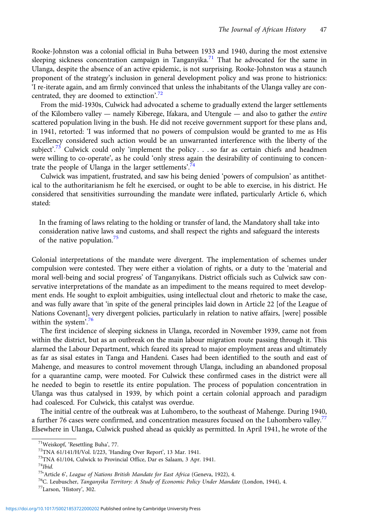Rooke-Johnston was a colonial official in Buha between 1933 and 1940, during the most extensive sleeping sickness concentration campaign in Tanganyika.<sup>71</sup> That he advocated for the same in Ulanga, despite the absence of an active epidemic, is not surprising. Rooke-Johnston was a staunch proponent of the strategy's inclusion in general development policy and was prone to histrionics: 'I re-iterate again, and am firmly convinced that unless the inhabitants of the Ulanga valley are concentrated, they are doomed to extinction'.<sup>72</sup>

From the mid-1930s, Culwick had advocated a scheme to gradually extend the larger settlements of the Kilombero valley — namely Kiberege, Ifakara, and Utengule — and also to gather the entire scattered population living in the bush. He did not receive government support for these plans and, in 1941, retorted: 'I was informed that no powers of compulsion would be granted to me as His Excellency considered such action would be an unwarranted interference with the liberty of the subject'.<sup>73</sup> Culwick could only 'implement the policy... so far as certain chiefs and headmen were willing to co-operate', as he could 'only stress again the desirability of continuing to concentrate the people of Ulanga in the larger settlements'.<sup>74</sup>

Culwick was impatient, frustrated, and saw his being denied 'powers of compulsion' as antithetical to the authoritarianism he felt he exercised, or ought to be able to exercise, in his district. He considered that sensitivities surrounding the mandate were inflated, particularly Article 6, which stated:

In the framing of laws relating to the holding or transfer of land, the Mandatory shall take into consideration native laws and customs, and shall respect the rights and safeguard the interests of the native population.<sup>75</sup>

Colonial interpretations of the mandate were divergent. The implementation of schemes under compulsion were contested. They were either a violation of rights, or a duty to the 'material and moral well-being and social progress' of Tanganyikans. District officials such as Culwick saw conservative interpretations of the mandate as an impediment to the means required to meet development ends. He sought to exploit ambiguities, using intellectual clout and rhetoric to make the case, and was fully aware that 'in spite of the general principles laid down in Article 22 [of the League of Nations Covenant], very divergent policies, particularly in relation to native affairs, [were] possible within the system'.<sup>76</sup>

The first incidence of sleeping sickness in Ulanga, recorded in November 1939, came not from within the district, but as an outbreak on the main labour migration route passing through it. This alarmed the Labour Department, which feared its spread to major employment areas and ultimately as far as sisal estates in Tanga and Handeni. Cases had been identified to the south and east of Mahenge, and measures to control movement through Ulanga, including an abandoned proposal for a quarantine camp, were mooted. For Culwick these confirmed cases in the district were all he needed to begin to resettle its entire population. The process of population concentration in Ulanga was thus catalysed in 1939, by which point a certain colonial approach and paradigm had coalesced. For Culwick, this catalyst was overdue.

The initial centre of the outbreak was at Luhombero, to the southeast of Mahenge. During 1940, a further 76 cases were confirmed, and concentration measures focused on the Luhombero valley.<sup>77</sup> Elsewhere in Ulanga, Culwick pushed ahead as quickly as permitted. In April 1941, he wrote of the

<sup>&</sup>lt;sup>71</sup>Weiskopf, 'Resettling Buha', 77.<br><sup>72</sup>TNA 61/141/H/Vol. I/223, 'Handing Over Report', 13 Mar. 1941.<br><sup>73</sup>TNA 61/104, Culwick to Provincial Office, Dar es Salaam, 3 Apr. 1941.

<sup>&</sup>lt;sup>74</sup>Ibid.<br><sup>75</sup>'Article 6', League of Nations British Mandate for East Africa (Geneva, 1922), 4.

<sup>&</sup>lt;sup>76</sup>C. Leubuscher, *Tanganyika Territory: A Study of Economic Policy Under Mandate* (London, 1944), 4. <sup>77</sup>Larson, 'History', 302.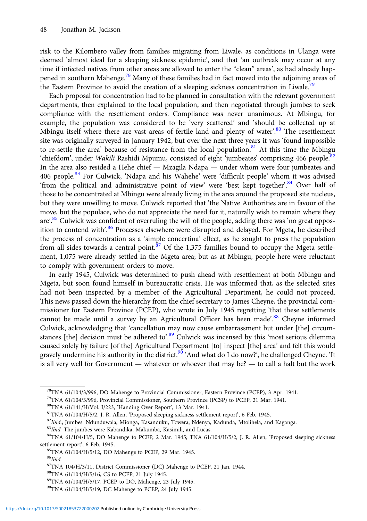risk to the Kilombero valley from families migrating from Liwale, as conditions in Ulanga were deemed 'almost ideal for a sleeping sickness epidemic', and that 'an outbreak may occur at any time if infected natives from other areas are allowed to enter the "clean" areas', as had already happened in southern Mahenge.<sup>78</sup> Many of these families had in fact moved into the adjoining areas of the Eastern Province to avoid the creation of a sleeping sickness concentration in Liwale.<sup>79</sup>

Each proposal for concentration had to be planned in consultation with the relevant government departments, then explained to the local population, and then negotiated through jumbes to seek compliance with the resettlement orders. Compliance was never unanimous. At Mbingu, for example, the population was considered to be 'very scattered' and 'should be collected up at Mbingu itself where there are vast areas of fertile land and plenty of water'.<sup>80</sup> The resettlement site was originally surveyed in January 1942, but over the next three years it was 'found impossible to re-settle the area' because of resistance from the local population.<sup>81</sup> At this time the Mbingu 'chiefdom', under Wakili Rashidi Mpumu, consisted of eight 'jumbeates' comprising 466 people.<sup>82</sup> In the area also resided a Hehe chief — Mzagila Ndapa — under whom were four jumbeates and 406 people.<sup>83</sup> For Culwick, 'Ndapa and his Wahehe' were 'difficult people' whom it was advised 'from the political and administrative point of view' were 'best kept together'.<sup>84</sup> Over half of those to be concentrated at Mbingu were already living in the area around the proposed site nucleus, but they were unwilling to move. Culwick reported that 'the Native Authorities are in favour of the move, but the populace, who do not appreciate the need for it, naturally wish to remain where they are'.<sup>85</sup> Culwick was confident of overruling the will of the people, adding there was 'no great opposition to contend with'.<sup>86</sup> Processes elsewhere were disrupted and delayed. For Mgeta, he described the process of concentration as a 'simple concertina' effect, as he sought to press the population from all sides towards a central point.<sup>87</sup> Of the 1,375 families bound to occupy the Mgeta settlement, 1,075 were already settled in the Mgeta area; but as at Mbingu, people here were reluctant to comply with government orders to move.

In early 1945, Culwick was determined to push ahead with resettlement at both Mbingu and Mgeta, but soon found himself in bureaucratic crisis. He was informed that, as the selected sites had not been inspected by a member of the Agricultural Department, he could not proceed. This news passed down the hierarchy from the chief secretary to James Cheyne, the provincial commissioner for Eastern Province (PCEP), who wrote in July 1945 regretting 'that these settlements cannot be made until a survey by an Agricultural Officer has been made'.<sup>88</sup> Cheyne informed Culwick, acknowledging that 'cancellation may now cause embarrassment but under [the] circumstances [the] decision must be adhered to'.<sup>89</sup> Culwick was incensed by this 'most serious dilemma caused solely by failure [of the] Agricultural Department [to] inspect [the] area' and felt this would gravely undermine his authority in the district.<sup>90</sup> 'And what do I do now?', he challenged Cheyne. 'It is all very well for Government — whatever or whoever that may be? — to call a halt but the work

<sup>78</sup>TNA 61/104/3/996, DO Mahenge to Provincial Commissioner, Eastern Province (PCEP), 3 Apr. 1941.

<sup>&</sup>lt;sup>79</sup>TNA 61/104/3/996, Provincial Commissioner, Southern Province (PCSP) to PCEP, 21 Mar. 1941.<br><sup>80</sup>TNA 61/141/H/Vol. I/223, 'Handing Over Report', 13 Mar. 1941.

<sup>&</sup>lt;sup>81</sup>TNA 61/104/H/5/2, J. R. Allen, 'Proposed sleeping sickness settlement report', 6 Feb. 1945.<br><sup>82</sup>*Ibid*.; Jumbes: Ndunduwala, Mionga, Kasanduku, Towera, Ndenya, Kadunda, Mtolihela, and Kaganga.<br><sup>83</sup>*Ibid*. The jumbes w settlement report', 6 Feb. 1945.<br><sup>85</sup>TNA 61/104/H/5/12, DO Mahenge to PCEP, 29 Mar. 1945.

 $^{86}Ibid.$ 

<sup>87</sup>TNA 104/H/3/11, District Commissioner (DC) Mahenge to PCEP, 21 Jan. 1944.

<sup>88</sup>TNA 61/104/H/5/16, CS to PCEP, 21 July 1945.

<sup>89</sup>TNA 61/104/H/5/17, PCEP to DO, Mahenge, 23 July 1945.

<sup>90</sup>TNA 61/104/H/5/19, DC Mahenge to PCEP, 24 July 1945.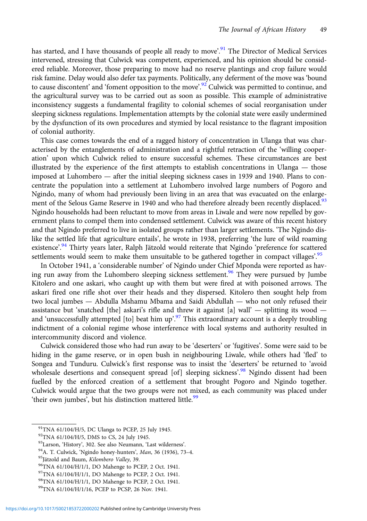has started, and I have thousands of people all ready to move'.<sup>91</sup> The Director of Medical Services intervened, stressing that Culwick was competent, experienced, and his opinion should be considered reliable. Moreover, those preparing to move had no reserve plantings and crop failure would risk famine. Delay would also defer tax payments. Politically, any deferment of the move was 'bound to cause discontent' and 'foment opposition to the move'.<sup>92</sup> Culwick was permitted to continue, and the agricultural survey was to be carried out as soon as possible. This example of administrative inconsistency suggests a fundamental fragility to colonial schemes of social reorganisation under sleeping sickness regulations. Implementation attempts by the colonial state were easily undermined by the dysfunction of its own procedures and stymied by local resistance to the flagrant imposition of colonial authority.

This case comes towards the end of a ragged history of concentration in Ulanga that was characterised by the entanglements of administration and a rightful retraction of the 'willing cooperation' upon which Culwick relied to ensure successful schemes. These circumstances are best illustrated by the experience of the first attempts to establish concentrations in Ulanga — those imposed at Luhombero — after the initial sleeping sickness cases in 1939 and 1940. Plans to concentrate the population into a settlement at Luhombero involved large numbers of Pogoro and Ngindo, many of whom had previously been living in an area that was evacuated on the enlargement of the Selous Game Reserve in 1940 and who had therefore already been recently displaced.<sup>93</sup> Ngindo households had been reluctant to move from areas in Liwale and were now repelled by government plans to compel them into condensed settlement. Culwick was aware of this recent history and that Ngindo preferred to live in isolated groups rather than larger settlements. 'The Ngindo dislike the settled life that agriculture entails', he wrote in 1938, preferring 'the lure of wild roaming existence'.<sup>94</sup> Thirty years later, Ralph Jätzold would reiterate that Ngindo 'preference for scattered settlements would seem to make them unsuitable to be gathered together in compact villages'.<sup>95</sup>

In October 1941, a 'considerable number' of Ngindo under Chief Mponda were reported as having run away from the Luhombero sleeping sickness settlement.<sup>96</sup> They were pursued by Jumbe Kitolero and one askari, who caught up with them but were fired at with poisoned arrows. The askari fired one rifle shot over their heads and they dispersed. Kitolero then sought help from two local jumbes — Abdulla Mshamu Mbama and Saidi Abdullah — who not only refused their assistance but 'snatched [the] askari's rifle and threw it against [a] wall'  $-$  splitting its wood  $$ and 'unsuccessfully attempted [to] beat him up'.<sup>97</sup> This extraordinary account is a deeply troubling indictment of a colonial regime whose interference with local systems and authority resulted in intercommunity discord and violence.

Culwick considered those who had run away to be 'deserters' or 'fugitives'. Some were said to be hiding in the game reserve, or in open bush in neighbouring Liwale, while others had 'fled' to Songea and Tunduru. Culwick's first response was to insist the 'deserters' be returned to 'avoid wholesale desertions and consequent spread [of] sleeping sickness'.<sup>98</sup> Ngindo dissent had been fuelled by the enforced creation of a settlement that brought Pogoro and Ngindo together. Culwick would argue that the two groups were not mixed, as each community was placed under 'their own jumbes', but his distinction mattered little.<sup>99</sup>

<sup>91</sup>TNA 61/104/H/5, DC Ulanga to PCEP, 25 July 1945.

 $92$ TNA 61/104/H/5, DMS to CS, 24 July 1945.<br> $93$ Larson, 'History', 302. See also Neumann, 'Last wilderness'.

<sup>&</sup>lt;sup>94</sup>A. T. Culwick, 'Ngindo honey-hunters', *Man*, 36 (1936), 73–4.<br><sup>95</sup>Jätzold and Baum, *Kilombero Valley*, 39. 96TNA 61/104/H/1/1, DO Mahenge to PCEP, 2 Oct. 1941.

<sup>97</sup>TNA 61/104/H/1/1, DO Mahenge to PCEP, 2 Oct. 1941.

<sup>98</sup>TNA 61/104/H/1/1, DO Mahenge to PCEP, 2 Oct. 1941.

<sup>99</sup>TNA 61/104/H/1/16, PCEP to PCSP, 26 Nov. 1941.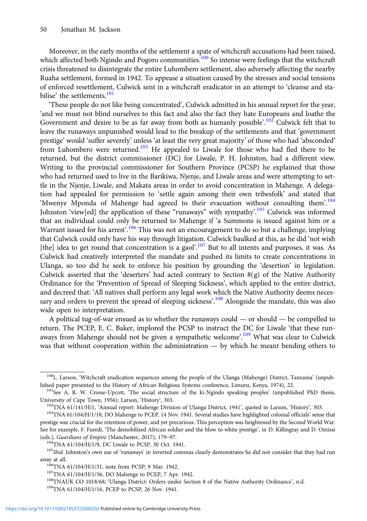Moreover, in the early months of the settlement a spate of witchcraft accusations had been raised, which affected both Ngindo and Pogoro communities.<sup>100</sup> So intense were feelings that the witchcraft crisis threatened to disintegrate the entire Luhombero settlement, also adversely affecting the nearby Ruaha settlement, formed in 1942. To appease a situation caused by the stresses and social tensions of enforced resettlement, Culwick sent in a witchcraft eradicator in an attempt to 'cleanse and stabilise' the settlements.<sup>101</sup>

'These people do not like being concentrated', Culwick admitted in his annual report for the year, 'and we must not blind ourselves to this fact and also the fact they hate Europeans and loathe the Government and desire to be as far away from both as humanly possible'.<sup>102</sup> Culwick felt that to leave the runaways unpunished would lead to the breakup of the settlements and that 'government prestige' would 'suffer severely' unless 'at least the very great majority' of those who had 'absconded' from Luhombero were returned.<sup>103</sup> He appealed to Liwale for those who had fled there to be returned, but the district commissioner (DC) for Liwale, P. H. Johnston, had a different view. Writing to the provincial commissioner for Southern Province (PCSP) he explained that those who had returned used to live in the Barikiwa, Njenje, and Liwale areas and were attempting to settle in the Njenje, Liwale, and Makata areas in order to avoid concentration in Mahenge. A delegation had appealed for permission to 'settle again among their own tribesfolk' and stated that 'Mwenye Mponda of Mahenge had agreed to their evacuation without consulting them'.<sup>104</sup> Johnston 'view[ed] the application of these "runaways" with sympathy'.<sup>105</sup> Culwick was informed that an individual could only be returned to Mahenge if 'a Summons is issued against him or a Warrant issued for his arrest'.<sup>106</sup> This was not an encouragement to do so but a challenge, implying that Culwick could only have his way through litigation. Culwick baulked at this, as he did 'not wish [the] idea to get round that concentration is a gaol'.<sup>107</sup> But to all intents and purposes, it was. As Culwick had creatively interpreted the mandate and pushed its limits to create concentrations in Ulanga, so too did he seek to enforce his position by grounding the 'desertion' in legislation. Culwick asserted that the 'deserters' had acted contrary to Section 8(g) of the Native Authority Ordinance for the 'Prevention of Spread of Sleeping Sickness', which applied to the entire district, and decreed that: 'All natives shall perform any legal work which the Native Authority deems necessary and orders to prevent the spread of sleeping sickness'.<sup>108</sup> Alongside the mandate, this was also wide open to interpretation.

A political tug-of-war ensued as to whether the runaways could — or should — be compelled to return. The PCEP, E. C. Baker, implored the PCSP to instruct the DC for Liwale 'that these runaways from Mahenge should not be given a sympathetic welcome'.<sup>109</sup> What was clear to Culwick was that without cooperation within the administration — by which he meant bending others to

<sup>&</sup>lt;sup>100</sup>L. Larson, 'Witchcraft eradication sequences among the people of the Ulanga (Mahenge) District, Tanzania' (unpublished paper presented to the History of African Religious Systems conference, Limuru, Kenya, 1974), 22.<br><sup>101</sup>See A. R. W. Crosse-Upcott, 'The social structure of the ki-Ngindo speaking peoples' (unpublished PhD thesis,

University of Cape Town, 1956); Larson, 'History', 303.<br><sup>102</sup>TNA 61/141/H/1, 'Annual report: Mahenge Division of Ulanga District, 1941', quoted in Larson, 'History', 303.<br><sup>103</sup>TNA 61/104/H/1/18, DO Mahenge to PCEP, 14 Nov.

prestige was crucial for the retention of power, and yet precarious. This perception was heightened by the Second World War. See for example, F. Furedi, 'The demobilized African soldier and the blow to white prestige', in D. Killingray and D. Omissi (eds.), *Guardians of Empire* (Manchester, 2017), 179–97.<br><sup>104</sup>TNA 61/104/H/1/9, DC Liwale to PCSP, 30 Oct. 1941.<br><sup>105</sup>*Ibid.* Johnston's own use of 'runaways' in inverted commas clearly demonstrates he did not consider th

away at all.<br><sup>106</sup>TNA 61/104/H/1/31, note from PCSP, 9 Mar. 1942.<br><sup>107</sup>TNA 61/104/H/1/36, DO Mahenge to PCEP, 7 Apr. 1942.<br><sup>108</sup>TNAUK CO 1018/68, 'Ulanga District: Orders under Section 8 of the Native Authority Ordinance',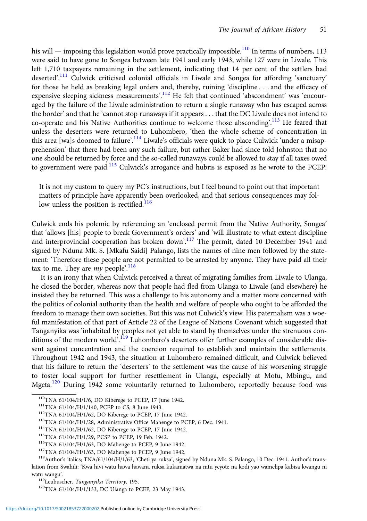his will — imposing this legislation would prove practically impossible.<sup>110</sup> In terms of numbers, 113 were said to have gone to Songea between late 1941 and early 1943, while 127 were in Liwale. This left 1,710 taxpayers remaining in the settlement, indicating that 14 per cent of the settlers had deserted'.<sup>111</sup> Culwick criticised colonial officials in Liwale and Songea for affording 'sanctuary' for those he held as breaking legal orders and, thereby, ruining 'discipline . . . and the efficacy of expensive sleeping sickness measurements'.<sup>112</sup> He felt that continued 'abscondment' was 'encouraged by the failure of the Liwale administration to return a single runaway who has escaped across the border' and that he 'cannot stop runaways if it appears . . . that the DC Liwale does not intend to co-operate and his Native Authorities continue to welcome those absconding'.<sup>113</sup> He feared that unless the deserters were returned to Luhombero, 'then the whole scheme of concentration in this area [wa]s doomed to failure'.<sup>114</sup> Liwale's officials were quick to place Culwick 'under a misapprehension' that there had been any such failure, but rather Baker had since told Johnston that no one should be returned by force and the so-called runaways could be allowed to stay if all taxes owed to government were paid.<sup>115</sup> Culwick's arrogance and hubris is exposed as he wrote to the PCEP:

It is not my custom to query my PC's instructions, but I feel bound to point out that important matters of principle have apparently been overlooked, and that serious consequences may follow unless the position is rectified. $116$ 

Culwick ends his polemic by referencing an 'enclosed permit from the Native Authority, Songea' that 'allows [his] people to break Government's orders' and 'will illustrate to what extent discipline and interprovincial cooperation has broken down'.<sup>117</sup> The permit, dated 10 December 1941 and signed by Nduna Mk. S. [Mkafu Saidi] Palango, lists the names of nine men followed by the statement: 'Therefore these people are not permitted to be arrested by anyone. They have paid all their tax to me. They are *my* people'.<sup>118</sup>

It is an irony that when Culwick perceived a threat of migrating families from Liwale to Ulanga, he closed the border, whereas now that people had fled from Ulanga to Liwale (and elsewhere) he insisted they be returned. This was a challenge to his autonomy and a matter more concerned with the politics of colonial authority than the health and welfare of people who ought to be afforded the freedom to manage their own societies. But this was not Culwick's view. His paternalism was a woeful manifestation of that part of Article 22 of the League of Nations Covenant which suggested that Tanganyika was 'inhabited by peoples not yet able to stand by themselves under the strenuous conditions of the modern world<sup>'</sup>.<sup>119</sup> Luhombero's deserters offer further examples of considerable dissent against concentration and the coercion required to establish and maintain the settlements. Throughout 1942 and 1943, the situation at Luhombero remained difficult, and Culwick believed that his failure to return the 'deserters' to the settlement was the cause of his worsening struggle to foster local support for further resettlement in Ulanga, especially at Mofu, Mbingu, and Mgeta.<sup>120</sup> During 1942 some voluntarily returned to Luhombero, reportedly because food was

<sup>110</sup>TNA 61/104/H/1/6, DO Kiberege to PCEP, 17 June 1942.<br><sup>111</sup>TNA 61/104/H/1/140, PCEP to CS, 8 June 1943.<br><sup>112</sup>TNA 61/104/H/1/62, DO Kiberege to PCEP, 17 June 1942.<br><sup>113</sup>TNA 61/104/H/1/28, Administrative Office Mahenge t lation from Swahili: 'Kwa hivi watu hawa hawana ruksa kukamatwa na mtu yeyote na kodi yao wamelipa kabisa kwangu ni watu wangu'.<br><sup>119</sup>Leubuscher, *Tanganyika Territory*, 195.<br><sup>120</sup>TNA 61/104/H/1/133, DC Ulanga to PCEP, 23 May 1943.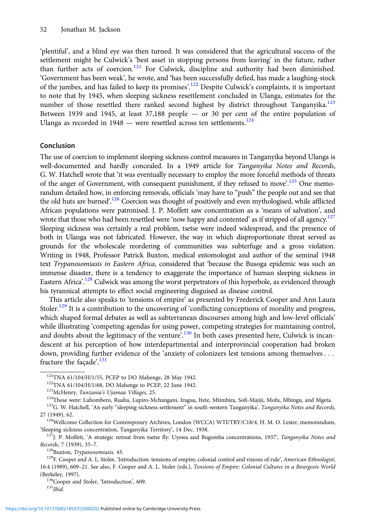'plentiful', and a blind eye was then turned. It was considered that the agricultural success of the settlement might be Culwick's 'best asset in stopping persons from leaving' in the future, rather than further acts of coercion.<sup>121</sup> For Culwick, discipline and authority had been diminished. 'Government has been weak', he wrote, and 'has been successfully defied, has made a laughing-stock of the jumbes, and has failed to keep its promises'.<sup>122</sup> Despite Culwick's complaints, it is important to note that by 1945, when sleeping sickness resettlement concluded in Ulanga, estimates for the number of those resettled there ranked second highest by district throughout Tanganyika.<sup>123</sup> Between 1939 and 1945, at least 37,188 people — or 30 per cent of the entire population of Ulanga as recorded in  $1948$  — were resettled across ten settlements.<sup>124</sup>

#### Conclusion

The use of coercion to implement sleeping sickness control measures in Tanganyika beyond Ulanga is well-documented and hardly concealed. In a 1949 article for Tanganyika Notes and Records, G. W. Hatchell wrote that 'it was eventually necessary to employ the more forceful methods of threats of the anger of Government, with consequent punishment, if they refused to move<sup>'</sup>.<sup>125</sup> One memorandum detailed how, in enforcing removals, officials 'may have to "push" the people out and see that the old huts are burned'.<sup>126</sup> Coercion was thought of positively and even mythologised, while afflicted African populations were patronised. J. P. Moffett saw concentration as a 'means of salvation', and wrote that those who had been resettled were 'now happy and contented' as if stripped of all agency.<sup>127</sup> Sleeping sickness was certainly a real problem, tsetse were indeed widespread, and the presence of both in Ulanga was not fabricated. However, the way in which disproportionate threat served as grounds for the wholescale reordering of communities was subterfuge and a gross violation. Writing in 1948, Professor Patrick Buxton, medical entomologist and author of the seminal 1948 text Trypanosomiasis in Eastern Africa, considered that 'because the Busoga epidemic was such an immense disaster, there is a tendency to exaggerate the importance of human sleeping sickness in Eastern Africa'.<sup>128</sup> Culwick was among the worst perpetrators of this hyperbole, as evidenced through his tyrannical attempts to effect social engineering disguised as disease control.

This article also speaks to 'tensions of empire' as presented by Frederick Cooper and Ann Laura Stoler.<sup>129</sup> It is a contribution to the uncovering of 'conflicting conceptions of morality and progress, which shaped formal debates as well as subterranean discourses among high and low-level officials' while illustrating 'competing agendas for using power, competing strategies for maintaining control, and doubts about the legitimacy of the venture<sup>'</sup>.<sup>130</sup> In both cases presented here, Culwick is incandescent at his perception of how interdepartmental and interprovincial cooperation had broken down, providing further evidence of the 'anxiety of colonizers lest tensions among themselves . . . fracture the façade'.<sup>131</sup>

(Berkeley, 1997).<br> $\frac{130}{130}$ Cooper and Stoler, 'Introduction', 609.<br> $\frac{131}$ Ibid.

<sup>&</sup>lt;sup>121</sup>TNA 61/104/H/1/55, PCEP to DO Mahenge, 28 May 1942.<br><sup>122</sup>TNA 61/104/H/1/68, DO Mahenge to PCEP, 22 June 1942.<br><sup>123</sup>McHenry, *Tanzania's Ujamaa Villages*, 25.<br><sup>124</sup>These were: Luhombero, Ruaha, Lupiro-Mchangani, Iragu 27 (1949), 62.<br><sup>126</sup>Wellcome Collection for Contemporary Archives, London (WCCA) WTI/TRY/C18/4, H. M. O. Lester, memorandum,

<sup>&#</sup>x27;Sleeping sickness concentration, Tanganyika Territory', 14 Dec. 1938.<br><sup>127</sup>J. P. Moffett, 'A strategic retreat from tsetse fly: Uyowa and Bugomba concentrations, 1937', *Tanganyika Notes and* 

Records, 7 (1939), 35–7.<br><sup>128</sup>Buxton, *Trypanosomiasis*, 43. 13. 129F. Norther and A. L. Stoler, 'Introduction: tensions of empire; colonial control and visions of rule', *American Ethnologist*, 16:4 (1989), 609–21. See also, F. Cooper and A. L. Stoler (eds.), Tensions of Empire: Colonial Cultures in a Bourgeois World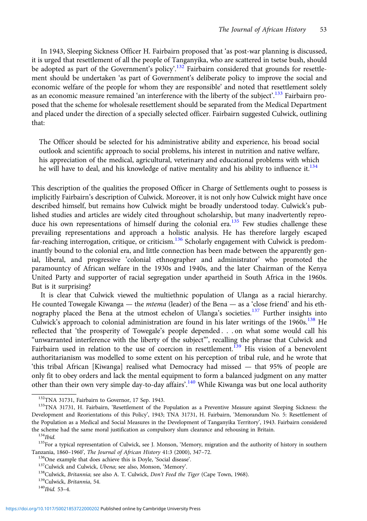In 1943, Sleeping Sickness Officer H. Fairbairn proposed that 'as post-war planning is discussed, it is urged that resettlement of all the people of Tanganyika, who are scattered in tsetse bush, should be adopted as part of the Government's policy'.<sup>132</sup> Fairbairn considered that grounds for resettlement should be undertaken 'as part of Government's deliberate policy to improve the social and economic welfare of the people for whom they are responsible' and noted that resettlement solely as an economic measure remained 'an interference with the liberty of the subject'.<sup>133</sup> Fairbairn proposed that the scheme for wholesale resettlement should be separated from the Medical Department and placed under the direction of a specially selected officer. Fairbairn suggested Culwick, outlining that:

The Officer should be selected for his administrative ability and experience, his broad social outlook and scientific approach to social problems, his interest in nutrition and native welfare, his appreciation of the medical, agricultural, veterinary and educational problems with which he will have to deal, and his knowledge of native mentality and his ability to influence it.  $134$ 

This description of the qualities the proposed Officer in Charge of Settlements ought to possess is implicitly Fairbairn's description of Culwick. Moreover, it is not only how Culwick might have once described himself, but remains how Culwick might be broadly understood today. Culwick's published studies and articles are widely cited throughout scholarship, but many inadvertently reproduce his own representations of himself during the colonial era.<sup>135</sup> Few studies challenge these prevailing representations and approach a holistic analysis. He has therefore largely escaped far-reaching interrogation, critique, or criticism.<sup>136</sup> Scholarly engagement with Culwick is predominantly bound to the colonial era, and little connection has been made between the apparently genial, liberal, and progressive 'colonial ethnographer and administrator' who promoted the paramountcy of African welfare in the 1930s and 1940s, and the later Chairman of the Kenya United Party and supporter of racial segregation under apartheid in South Africa in the 1960s. But is it surprising?

It is clear that Culwick viewed the multiethnic population of Ulanga as a racial hierarchy. He counted Towegale Kiwanga — the *mtema* (leader) of the Bena — as a 'close friend' and his ethnography placed the Bena at the utmost echelon of Ulanga's societies.<sup>137</sup> Further insights into Culwick's approach to colonial administration are found in his later writings of the  $1960s$ .<sup>138</sup> He reflected that 'the prosperity of Towegale's people depended . . . on what some would call his "unwarranted interference with the liberty of the subject"', recalling the phrase that Culwick and Fairbairn used in relation to the use of coercion in resettlement.<sup>139</sup> His vision of a benevolent authoritarianism was modelled to some extent on his perception of tribal rule, and he wrote that 'this tribal African [Kiwanga] realised what Democracy had missed — that 95% of people are only fit to obey orders and lack the mental equipment to form a balanced judgment on any matter other than their own very simple day-to-day affairs'.<sup>140</sup> While Kiwanga was but one local authority

<sup>&</sup>lt;sup>132</sup>TNA 31731, Fairbairn to Governor, 17 Sep. 1943.<br><sup>133</sup>TNA 31731, H. Fairbairn, 'Resettlement of the Population as a Preventive Measure against Sleeping Sickness: the Development and Reorientations of this Policy', 1943; TNA 31731, H. Fairbairn, 'Memorandum No. 5: Resettlement of the Population as a Medical and Social Measures in the Development of Tanganyika Territory', 1943. Fairbairn considered the scheme had the same moral justification as compulsory slum clearance and rehousing in Britain.<br><sup>134</sup>Ibid.<br><sup>135</sup>For a typical representation of Culwick, see J. Monson, 'Memory, migration and the authority of history in

Tanzania, 1860–1960', *The Journal of African History* 41:3 (2000), 347–72.<br><sup>136</sup>One example that does achieve this is Doyle, 'Social disease'.<br><sup>137</sup>Culwick and Culwick, *Ubena*; see also, Monson, 'Memory'.<br><sup>138</sup>Culwick,